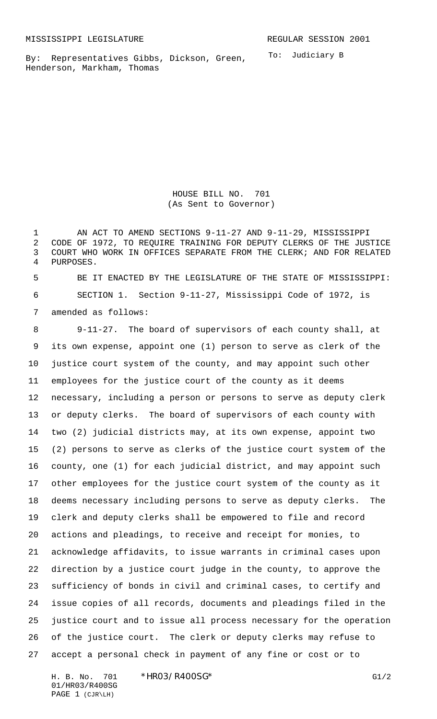By: Representatives Gibbs, Dickson, Green, Henderson, Markham, Thomas

To: Judiciary B

HOUSE BILL NO. 701 (As Sent to Governor)

 AN ACT TO AMEND SECTIONS 9-11-27 AND 9-11-29, MISSISSIPPI CODE OF 1972, TO REQUIRE TRAINING FOR DEPUTY CLERKS OF THE JUSTICE COURT WHO WORK IN OFFICES SEPARATE FROM THE CLERK; AND FOR RELATED PURPOSES.

 BE IT ENACTED BY THE LEGISLATURE OF THE STATE OF MISSISSIPPI: SECTION 1. Section 9-11-27, Mississippi Code of 1972, is amended as follows:

 9-11-27. The board of supervisors of each county shall, at its own expense, appoint one (1) person to serve as clerk of the justice court system of the county, and may appoint such other employees for the justice court of the county as it deems necessary, including a person or persons to serve as deputy clerk or deputy clerks. The board of supervisors of each county with two (2) judicial districts may, at its own expense, appoint two (2) persons to serve as clerks of the justice court system of the county, one (1) for each judicial district, and may appoint such other employees for the justice court system of the county as it deems necessary including persons to serve as deputy clerks. The clerk and deputy clerks shall be empowered to file and record actions and pleadings, to receive and receipt for monies, to acknowledge affidavits, to issue warrants in criminal cases upon direction by a justice court judge in the county, to approve the sufficiency of bonds in civil and criminal cases, to certify and issue copies of all records, documents and pleadings filed in the justice court and to issue all process necessary for the operation of the justice court. The clerk or deputy clerks may refuse to accept a personal check in payment of any fine or cost or to

H. B. No. 701 \* HRO3/R400SG\* G1/2 01/HR03/R400SG PAGE 1 (CJR\LH)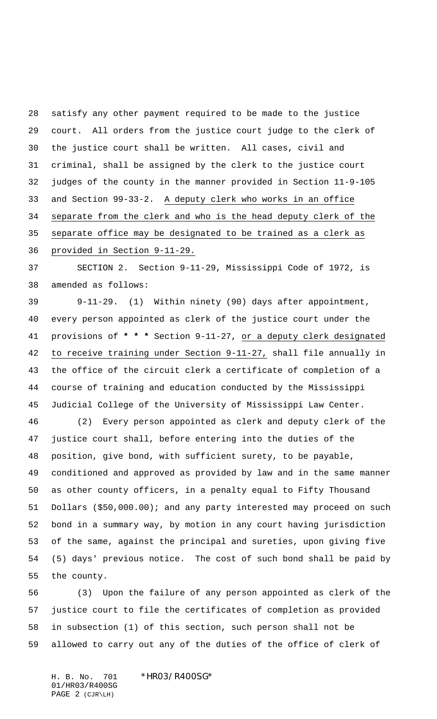satisfy any other payment required to be made to the justice court. All orders from the justice court judge to the clerk of the justice court shall be written. All cases, civil and criminal, shall be assigned by the clerk to the justice court judges of the county in the manner provided in Section 11-9-105 and Section 99-33-2. A deputy clerk who works in an office separate from the clerk and who is the head deputy clerk of the separate office may be designated to be trained as a clerk as

provided in Section 9-11-29.

 SECTION 2. Section 9-11-29, Mississippi Code of 1972, is amended as follows:

 9-11-29. (1) Within ninety (90) days after appointment, every person appointed as clerk of the justice court under the provisions of **\* \* \*** Section 9-11-27, or a deputy clerk designated to receive training under Section 9-11-27, shall file annually in the office of the circuit clerk a certificate of completion of a course of training and education conducted by the Mississippi Judicial College of the University of Mississippi Law Center.

 (2) Every person appointed as clerk and deputy clerk of the justice court shall, before entering into the duties of the position, give bond, with sufficient surety, to be payable, conditioned and approved as provided by law and in the same manner as other county officers, in a penalty equal to Fifty Thousand Dollars (\$50,000.00); and any party interested may proceed on such bond in a summary way, by motion in any court having jurisdiction of the same, against the principal and sureties, upon giving five (5) days' previous notice. The cost of such bond shall be paid by the county.

 (3) Upon the failure of any person appointed as clerk of the justice court to file the certificates of completion as provided in subsection (1) of this section, such person shall not be allowed to carry out any of the duties of the office of clerk of

H. B. No. 701 \*HR03/R400SG\* 01/HR03/R400SG PAGE 2 (CJR\LH)